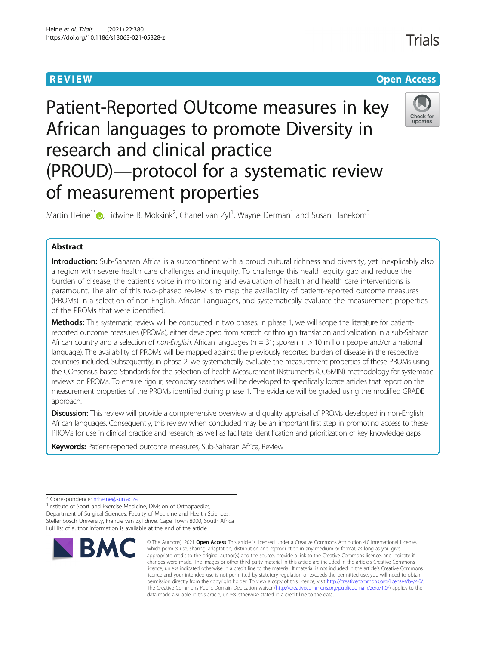**REVIEW CONTROL** CONTROL CONTROL CONTROL CONTROL CONTROL CONTROL CONTROL CONTROL CONTROL CONTROL CONTROL CONTROL

# Patient-Reported OUtcome measures in key African languages to promote Diversity in research and clinical practice (PROUD)—protocol for a systematic review of measurement properties

Martin Heine<sup>1\*</sup> $\bullet$ , Lidwine B. Mokkink<sup>2</sup>, Chanel van Zyl<sup>1</sup>, Wayne Derman<sup>1</sup> and Susan Hanekom<sup>3</sup>

### Abstract

Introduction: Sub-Saharan Africa is a subcontinent with a proud cultural richness and diversity, yet inexplicably also a region with severe health care challenges and inequity. To challenge this health equity gap and reduce the burden of disease, the patient's voice in monitoring and evaluation of health and health care interventions is paramount. The aim of this two-phased review is to map the availability of patient-reported outcome measures (PROMs) in a selection of non-English, African Languages, and systematically evaluate the measurement properties of the PROMs that were identified.

Methods: This systematic review will be conducted in two phases. In phase 1, we will scope the literature for patientreported outcome measures (PROMs), either developed from scratch or through translation and validation in a sub-Saharan African country and a selection of non-English, African languages ( $n = 31$ ; spoken in  $> 10$  million people and/or a national language). The availability of PROMs will be mapped against the previously reported burden of disease in the respective countries included. Subsequently, in phase 2, we systematically evaluate the measurement properties of these PROMs using the COnsensus-based Standards for the selection of health Measurement INstruments (COSMIN) methodology for systematic reviews on PROMs. To ensure rigour, secondary searches will be developed to specifically locate articles that report on the measurement properties of the PROMs identified during phase 1. The evidence will be graded using the modified GRADE approach.

Discussion: This review will provide a comprehensive overview and quality appraisal of PROMs developed in non-English, African languages. Consequently, this review when concluded may be an important first step in promoting access to these PROMs for use in clinical practice and research, as well as facilitate identification and prioritization of key knowledge gaps.

Keywords: Patient-reported outcome measures, Sub-Saharan Africa, Review

<sup>1</sup>Institute of Sport and Exercise Medicine, Division of Orthopaedics, Department of Surgical Sciences, Faculty of Medicine and Health Sciences, Stellenbosch University, Francie van Zyl drive, Cape Town 8000, South Africa Full list of author information is available at the end of the article



<sup>©</sup> The Author(s), 2021 **Open Access** This article is licensed under a Creative Commons Attribution 4.0 International License, which permits use, sharing, adaptation, distribution and reproduction in any medium or format, as long as you give appropriate credit to the original author(s) and the source, provide a link to the Creative Commons licence, and indicate if changes were made. The images or other third party material in this article are included in the article's Creative Commons licence, unless indicated otherwise in a credit line to the material. If material is not included in the article's Creative Commons licence and your intended use is not permitted by statutory regulation or exceeds the permitted use, you will need to obtain permission directly from the copyright holder. To view a copy of this licence, visit [http://creativecommons.org/licenses/by/4.0/.](http://creativecommons.org/licenses/by/4.0/) The Creative Commons Public Domain Dedication waiver [\(http://creativecommons.org/publicdomain/zero/1.0/](http://creativecommons.org/publicdomain/zero/1.0/)) applies to the data made available in this article, unless otherwise stated in a credit line to the data.

Check for undates

<sup>\*</sup> Correspondence: [mheine@sun.ac.za](mailto:mheine@sun.ac.za) <sup>1</sup>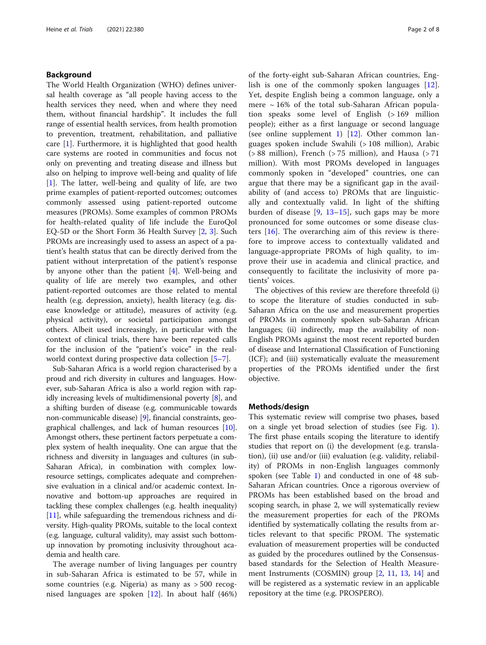#### Background

The World Health Organization (WHO) defines universal health coverage as "all people having access to the health services they need, when and where they need them, without financial hardship". It includes the full range of essential health services, from health promotion to prevention, treatment, rehabilitation, and palliative care [[1](#page-7-0)]. Furthermore, it is highlighted that good health care systems are rooted in communities and focus not only on preventing and treating disease and illness but also on helping to improve well-being and quality of life [[1\]](#page-7-0). The latter, well-being and quality of life, are two prime examples of patient-reported outcomes; outcomes commonly assessed using patient-reported outcome measures (PROMs). Some examples of common PROMs for health-related quality of life include the EuroQol EQ-5D or the Short Form 36 Health Survey [\[2](#page-7-0), [3\]](#page-7-0). Such PROMs are increasingly used to assess an aspect of a patient's health status that can be directly derived from the patient without interpretation of the patient's response by anyone other than the patient [[4\]](#page-7-0). Well-being and quality of life are merely two examples, and other patient-reported outcomes are those related to mental health (e.g. depression, anxiety), health literacy (e.g. disease knowledge or attitude), measures of activity (e.g. physical activity), or societal participation amongst others. Albeit used increasingly, in particular with the context of clinical trials, there have been repeated calls for the inclusion of the "patient's voice" in the realworld context during prospective data collection [[5](#page-7-0)–[7](#page-7-0)].

Sub-Saharan Africa is a world region characterised by a proud and rich diversity in cultures and languages. However, sub-Saharan Africa is also a world region with rapidly increasing levels of multidimensional poverty [[8](#page-7-0)], and a shifting burden of disease (e.g. communicable towards non-communicable disease) [[9](#page-7-0)], financial constraints, geographical challenges, and lack of human resources [[10](#page-7-0)]. Amongst others, these pertinent factors perpetuate a complex system of health inequality. One can argue that the richness and diversity in languages and cultures (in sub-Saharan Africa), in combination with complex lowresource settings, complicates adequate and comprehensive evaluation in a clinical and/or academic context. Innovative and bottom-up approaches are required in tackling these complex challenges (e.g. health inequality) [[11](#page-7-0)], while safeguarding the tremendous richness and diversity. High-quality PROMs, suitable to the local context (e.g. language, cultural validity), may assist such bottomup innovation by promoting inclusivity throughout academia and health care.

The average number of living languages per country in sub-Saharan Africa is estimated to be 57, while in some countries (e.g. Nigeria) as many as > 500 recognised languages are spoken [[12](#page-7-0)]. In about half (46%) of the forty-eight sub-Saharan African countries, English is one of the commonly spoken languages [\[12](#page-7-0)]. Yet, despite English being a common language, only a mere  $\sim$  16% of the total sub-Saharan African population speaks some level of English (> 169 million people); either as a first language or second language (see online supplement [1\)](#page-6-0)  $[12]$  $[12]$ . Other common languages spoken include Swahili (> 108 million), Arabic  $( > 88$  million), French  $( > 75$  million), and Hausa  $( > 71$ million). With most PROMs developed in languages commonly spoken in "developed" countries, one can argue that there may be a significant gap in the availability of (and access to) PROMs that are linguistically and contextually valid. In light of the shifting burden of disease  $[9, 13-15]$  $[9, 13-15]$  $[9, 13-15]$  $[9, 13-15]$  $[9, 13-15]$  $[9, 13-15]$  $[9, 13-15]$ , such gaps may be more pronounced for some outcomes or some disease clusters [\[16](#page-7-0)]. The overarching aim of this review is therefore to improve access to contextually validated and language-appropriate PROMs of high quality, to improve their use in academia and clinical practice, and consequently to facilitate the inclusivity of more patients' voices.

The objectives of this review are therefore threefold (i) to scope the literature of studies conducted in sub-Saharan Africa on the use and measurement properties of PROMs in commonly spoken sub-Saharan African languages; (ii) indirectly, map the availability of non-English PROMs against the most recent reported burden of disease and International Classification of Functioning (ICF); and (iii) systematically evaluate the measurement properties of the PROMs identified under the first objective.

#### Methods/design

This systematic review will comprise two phases, based on a single yet broad selection of studies (see Fig. [1](#page-2-0)). The first phase entails scoping the literature to identify studies that report on (i) the development (e.g. translation), (ii) use and/or (iii) evaluation (e.g. validity, reliability) of PROMs in non-English languages commonly spoken (see Table [1\)](#page-4-0) and conducted in one of 48 sub-Saharan African countries. Once a rigorous overview of PROMs has been established based on the broad and scoping search, in phase 2, we will systematically review the measurement properties for each of the PROMs identified by systematically collating the results from articles relevant to that specific PROM. The systematic evaluation of measurement properties will be conducted as guided by the procedures outlined by the Consensusbased standards for the Selection of Health Measurement Instruments (COSMIN) group [[2,](#page-7-0) [11,](#page-7-0) [13,](#page-7-0) [14](#page-7-0)] and will be registered as a systematic review in an applicable repository at the time (e.g. PROSPERO).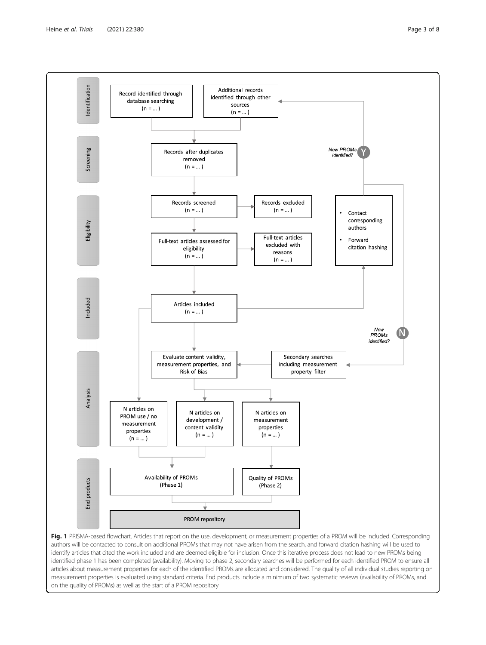<span id="page-2-0"></span>

Fig. 1 PRISMA-based flowchart. Articles that report on the use, development, or measurement properties of a PROM will be included. Corresponding authors will be contacted to consult on additional PROMs that may not have arisen from the search, and forward citation hashing will be used to identify articles that cited the work included and are deemed eligible for inclusion. Once this iterative process does not lead to new PROMs being identified phase 1 has been completed (availability). Moving to phase 2, secondary searches will be performed for each identified PROM to ensure all articles about measurement properties for each of the identified PROMs are allocated and considered. The quality of all individual studies reporting on measurement properties is evaluated using standard criteria. End products include a minimum of two systematic reviews (availability of PROMs, and on the quality of PROMs) as well as the start of a PROM repository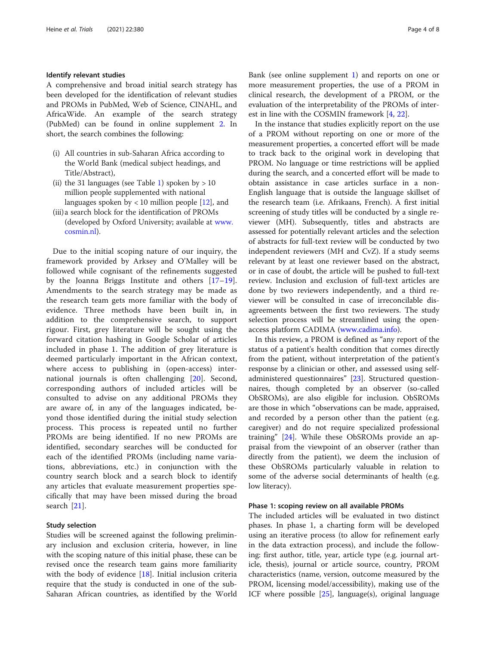#### Identify relevant studies

A comprehensive and broad initial search strategy has been developed for the identification of relevant studies and PROMs in PubMed, Web of Science, CINAHL, and AfricaWide. An example of the search strategy (PubMed) can be found in online supplement [2.](#page-6-0) In short, the search combines the following:

- (i) All countries in sub-Saharan Africa according to the World Bank (medical subject headings, and Title/Abstract),
- (ii) the 31 languages (see Table [1\)](#page-4-0) spoken by  $> 10$ million people supplemented with national languages spoken by  $< 10$  million people [[12](#page-7-0)], and
- (iii)a search block for the identification of PROMs (developed by Oxford University; available at [www.](http://www.cosmin.nl) [cosmin.nl](http://www.cosmin.nl)).

Due to the initial scoping nature of our inquiry, the framework provided by Arksey and O'Malley will be followed while cognisant of the refinements suggested by the Joanna Briggs Institute and others [[17](#page-7-0)–[19](#page-7-0)]. Amendments to the search strategy may be made as the research team gets more familiar with the body of evidence. Three methods have been built in, in addition to the comprehensive search, to support rigour. First, grey literature will be sought using the forward citation hashing in Google Scholar of articles included in phase 1. The addition of grey literature is deemed particularly important in the African context, where access to publishing in (open-access) international journals is often challenging [[20](#page-7-0)]. Second, corresponding authors of included articles will be consulted to advise on any additional PROMs they are aware of, in any of the languages indicated, beyond those identified during the initial study selection process. This process is repeated until no further PROMs are being identified. If no new PROMs are identified, secondary searches will be conducted for each of the identified PROMs (including name variations, abbreviations, etc.) in conjunction with the country search block and a search block to identify any articles that evaluate measurement properties specifically that may have been missed during the broad search [\[21](#page-7-0)].

#### Study selection

Studies will be screened against the following preliminary inclusion and exclusion criteria, however, in line with the scoping nature of this initial phase, these can be revised once the research team gains more familiarity with the body of evidence  $[18]$  $[18]$  $[18]$ . Initial inclusion criteria require that the study is conducted in one of the sub-Saharan African countries, as identified by the World Bank (see online supplement [1\)](#page-6-0) and reports on one or more measurement properties, the use of a PROM in clinical research, the development of a PROM, or the evaluation of the interpretability of the PROMs of interest in line with the COSMIN framework [[4,](#page-7-0) [22\]](#page-7-0).

In the instance that studies explicitly report on the use of a PROM without reporting on one or more of the measurement properties, a concerted effort will be made to track back to the original work in developing that PROM. No language or time restrictions will be applied during the search, and a concerted effort will be made to obtain assistance in case articles surface in a non-English language that is outside the language skillset of the research team (i.e. Afrikaans, French). A first initial screening of study titles will be conducted by a single reviewer (MH). Subsequently, titles and abstracts are assessed for potentially relevant articles and the selection of abstracts for full-text review will be conducted by two independent reviewers (MH and CvZ). If a study seems relevant by at least one reviewer based on the abstract, or in case of doubt, the article will be pushed to full-text review. Inclusion and exclusion of full-text articles are done by two reviewers independently, and a third reviewer will be consulted in case of irreconcilable disagreements between the first two reviewers. The study selection process will be streamlined using the openaccess platform CADIMA [\(www.cadima.info](http://www.cadima.info)).

In this review, a PROM is defined as "any report of the status of a patient's health condition that comes directly from the patient, without interpretation of the patient's response by a clinician or other, and assessed using selfadministered questionnaires" [[23](#page-7-0)]. Structured questionnaires, though completed by an observer (so-called ObSROMs), are also eligible for inclusion. ObSROMs are those in which "observations can be made, appraised, and recorded by a person other than the patient (e.g. caregiver) and do not require specialized professional training" [[24](#page-7-0)]. While these ObSROMs provide an appraisal from the viewpoint of an observer (rather than directly from the patient), we deem the inclusion of these ObSROMs particularly valuable in relation to some of the adverse social determinants of health (e.g. low literacy).

#### Phase 1: scoping review on all available PROMs

The included articles will be evaluated in two distinct phases. In phase 1, a charting form will be developed using an iterative process (to allow for refinement early in the data extraction process), and include the following: first author, title, year, article type (e.g. journal article, thesis), journal or article source, country, PROM characteristics (name, version, outcome measured by the PROM, licensing model/accessibility), making use of the ICF where possible  $[25]$  $[25]$ , language(s), original language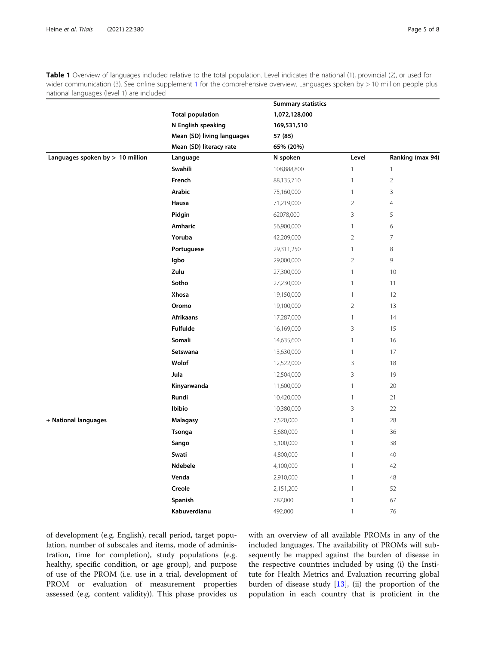<span id="page-4-0"></span>Table 1 Overview of languages included relative to the total population. Level indicates the national (1), provincial (2), or used for wider communication (3). See online supplement [1](#page-6-0) for the comprehensive overview. Languages spoken by > 10 million people plus national languages (level 1) are included

|                                    |                            | <b>Summary statistics</b> |                |                  |
|------------------------------------|----------------------------|---------------------------|----------------|------------------|
|                                    | <b>Total population</b>    | 1,072,128,000             |                |                  |
|                                    | N English speaking         | 169,531,510               |                |                  |
|                                    | Mean (SD) living languages | 57 (85)                   |                |                  |
|                                    | Mean (SD) literacy rate    | 65% (20%)                 |                |                  |
| Languages spoken by $> 10$ million | Language                   | N spoken                  | Level          | Ranking (max 94) |
|                                    | Swahili                    | 108,888,800               | $\mathbf{1}$   | $\mathbf{1}$     |
|                                    | French                     | 88,135,710                | $\mathbb{1}$   | $\sqrt{2}$       |
|                                    | Arabic                     | 75,160,000                | $\mathbf{1}$   | 3                |
|                                    | Hausa                      | 71,219,000                | $\overline{2}$ | $\overline{4}$   |
|                                    | Pidgin                     | 62078,000                 | 3              | 5                |
|                                    | Amharic                    | 56,900,000                | $\mathbf{1}$   | 6                |
|                                    | Yoruba                     | 42,209,000                | $\overline{2}$ | $\overline{7}$   |
|                                    | Portuguese                 | 29,311,250                | $\mathbf{1}$   | 8                |
|                                    | Igbo                       | 29,000,000                | $\overline{2}$ | 9                |
|                                    | Zulu                       | 27,300,000                | $\mathbf{1}$   | 10               |
|                                    | Sotho                      | 27,230,000                | $\mathbf{1}$   | 11               |
|                                    | Xhosa                      | 19,150,000                | $\mathbf{1}$   | 12               |
|                                    | Oromo                      | 19,100,000                | $\overline{2}$ | 13               |
|                                    | <b>Afrikaans</b>           | 17,287,000                | $\mathbf{1}$   | 14               |
|                                    | Fulfulde                   | 16,169,000                | 3              | 15               |
|                                    | Somali                     | 14,635,600                | $\mathbf{1}$   | 16               |
|                                    | Setswana                   | 13,630,000                | $\mathbf{1}$   | 17               |
|                                    | Wolof                      | 12,522,000                | 3              | 18               |
|                                    | Jula                       | 12,504,000                | 3              | 19               |
|                                    | Kinyarwanda                | 11,600,000                | $\mathbf{1}$   | 20               |
|                                    | Rundi                      | 10,420,000                | $\mathbf{1}$   | 21               |
|                                    | Ibibio                     | 10,380,000                | 3              | 22               |
| + National languages               | <b>Malagasy</b>            | 7,520,000                 | $\mathbf{1}$   | 28               |
|                                    | <b>Tsonga</b>              | 5,680,000                 | $\mathbf{1}$   | 36               |
|                                    | Sango                      | 5,100,000                 | $\mathbf{1}$   | 38               |
|                                    | Swati                      | 4,800,000                 | $\mathbf{1}$   | 40               |
|                                    | Ndebele                    | 4,100,000                 | $\mathbf{1}$   | 42               |
|                                    | Venda                      | 2,910,000                 | $\mathbf{1}$   | 48               |
|                                    | Creole                     | 2,151,200                 | $\mathbf{1}$   | 52               |
|                                    | Spanish                    | 787,000                   | $\mathbf{1}$   | 67               |
|                                    | Kabuverdianu               | 492,000                   | $\mathbf{1}$   | 76               |

of development (e.g. English), recall period, target population, number of subscales and items, mode of administration, time for completion), study populations (e.g. healthy, specific condition, or age group), and purpose of use of the PROM (i.e. use in a trial, development of PROM or evaluation of measurement properties assessed (e.g. content validity)). This phase provides us

with an overview of all available PROMs in any of the included languages. The availability of PROMs will subsequently be mapped against the burden of disease in the respective countries included by using (i) the Institute for Health Metrics and Evaluation recurring global burden of disease study  $[13]$  $[13]$  $[13]$ , (ii) the proportion of the population in each country that is proficient in the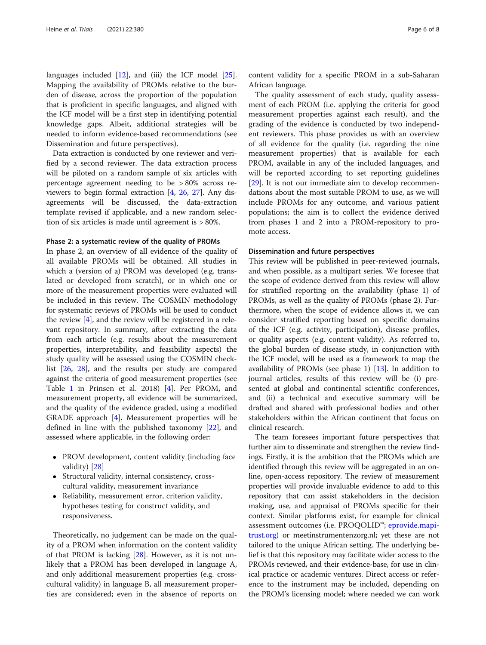languages included [[12](#page-7-0)], and (iii) the ICF model [\[25](#page-7-0)]. Mapping the availability of PROMs relative to the burden of disease, across the proportion of the population that is proficient in specific languages, and aligned with the ICF model will be a first step in identifying potential knowledge gaps. Albeit, additional strategies will be needed to inform evidence-based recommendations (see Dissemination and future perspectives).

Data extraction is conducted by one reviewer and verified by a second reviewer. The data extraction process will be piloted on a random sample of six articles with percentage agreement needing to be > 80% across reviewers to begin formal extraction [\[4](#page-7-0), [26](#page-7-0), [27](#page-7-0)]. Any disagreements will be discussed, the data-extraction template revised if applicable, and a new random selection of six articles is made until agreement is > 80%.

#### Phase 2: a systematic review of the quality of PROMs

In phase 2, an overview of all evidence of the quality of all available PROMs will be obtained. All studies in which a (version of a) PROM was developed (e.g. translated or developed from scratch), or in which one or more of the measurement properties were evaluated will be included in this review. The COSMIN methodology for systematic reviews of PROMs will be used to conduct the review [[4\]](#page-7-0), and the review will be registered in a relevant repository. In summary, after extracting the data from each article (e.g. results about the measurement properties, interpretability, and feasibility aspects) the study quality will be assessed using the COSMIN checklist [\[26](#page-7-0), [28\]](#page-7-0), and the results per study are compared against the criteria of good measurement properties (see Table [1](#page-4-0) in Prinsen et al. 2018) [[4\]](#page-7-0). Per PROM, and measurement property, all evidence will be summarized, and the quality of the evidence graded, using a modified GRADE approach [[4\]](#page-7-0). Measurement properties will be defined in line with the published taxonomy [[22\]](#page-7-0), and assessed where applicable, in the following order:

- PROM development, content validity (including face validity) [[28](#page-7-0)]
- Structural validity, internal consistency, crosscultural validity, measurement invariance
- Reliability, measurement error, criterion validity, hypotheses testing for construct validity, and responsiveness.

Theoretically, no judgement can be made on the quality of a PROM when information on the content validity of that PROM is lacking [\[28\]](#page-7-0). However, as it is not unlikely that a PROM has been developed in language A, and only additional measurement properties (e.g. crosscultural validity) in language B, all measurement properties are considered; even in the absence of reports on content validity for a specific PROM in a sub-Saharan African language.

The quality assessment of each study, quality assessment of each PROM (i.e. applying the criteria for good measurement properties against each result), and the grading of the evidence is conducted by two independent reviewers. This phase provides us with an overview of all evidence for the quality (i.e. regarding the nine measurement properties) that is available for each PROM, available in any of the included languages, and will be reported according to set reporting guidelines [[29\]](#page-7-0). It is not our immediate aim to develop recommendations about the most suitable PROM to use, as we will include PROMs for any outcome, and various patient populations; the aim is to collect the evidence derived from phases 1 and 2 into a PROM-repository to promote access.

#### Dissemination and future perspectives

This review will be published in peer-reviewed journals, and when possible, as a multipart series. We foresee that the scope of evidence derived from this review will allow for stratified reporting on the availability (phase 1) of PROMs, as well as the quality of PROMs (phase 2). Furthermore, when the scope of evidence allows it, we can consider stratified reporting based on specific domains of the ICF (e.g. activity, participation), disease profiles, or quality aspects (e.g. content validity). As referred to, the global burden of disease study, in conjunction with the ICF model, will be used as a framework to map the availability of PROMs (see phase 1) [\[13](#page-7-0)]. In addition to journal articles, results of this review will be (i) presented at global and continental scientific conferences, and (ii) a technical and executive summary will be drafted and shared with professional bodies and other stakeholders within the African continent that focus on clinical research.

The team foresees important future perspectives that further aim to disseminate and strengthen the review findings. Firstly, it is the ambition that the PROMs which are identified through this review will be aggregated in an online, open-access repository. The review of measurement properties will provide invaluable evidence to add to this repository that can assist stakeholders in the decision making, use, and appraisal of PROMs specific for their context. Similar platforms exist, for example for clinical assessment outcomes (i.e. PROQOLID™; [eprovide.mapi](http://eprovide.mapi-trust.org)[trust.org\)](http://eprovide.mapi-trust.org) or meetinstrumentenzorg.nl; yet these are not tailored to the unique African setting. The underlying belief is that this repository may facilitate wider access to the PROMs reviewed, and their evidence-base, for use in clinical practice or academic ventures. Direct access or reference to the instrument may be included, depending on the PROM's licensing model; where needed we can work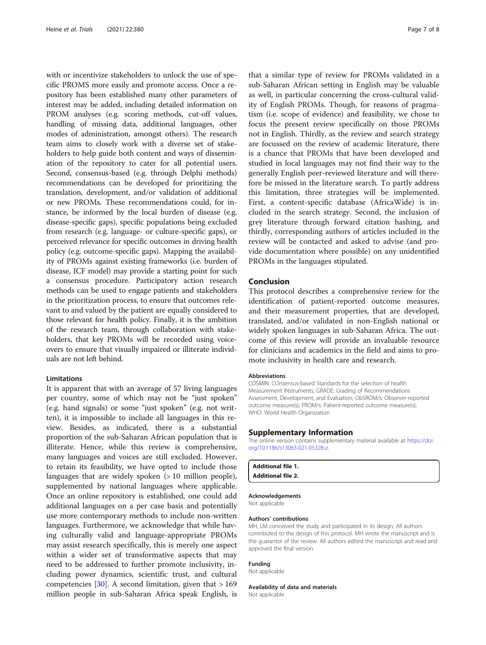<span id="page-6-0"></span>with or incentivize stakeholders to unlock the use of specific PROMS more easily and promote access. Once a repository has been established many other parameters of interest may be added, including detailed information on PROM analyses (e.g. scoring methods, cut-off values, handling of missing data, additional languages, other modes of administration, amongst others). The research team aims to closely work with a diverse set of stakeholders to help guide both content and ways of dissemination of the repository to cater for all potential users. Second, consensus-based (e.g. through Delphi methods) recommendations can be developed for prioritizing the translation, development, and/or validation of additional or new PROMs. These recommendations could, for instance, be informed by the local burden of disease (e.g. disease-specific gaps), specific populations being excluded from research (e.g. language- or culture-specific gaps), or perceived relevance for specific outcomes in driving health policy (e.g. outcome-specific gaps). Mapping the availability of PROMs against existing frameworks (i.e. burden of disease, ICF model) may provide a starting point for such a consensus procedure. Participatory action research methods can be used to engage patients and stakeholders in the prioritization process, to ensure that outcomes relevant to and valued by the patient are equally considered to those relevant for health policy. Finally, it is the ambition of the research team, through collaboration with stakeholders, that key PROMs will be recorded using voiceovers to ensure that visually impaired or illiterate individuals are not left behind.

#### Limitations

It is apparent that with an average of 57 living languages per country, some of which may not be "just spoken" (e.g. hand signals) or some "just spoken" (e.g. not written), it is impossible to include all languages in this review. Besides, as indicated, there is a substantial proportion of the sub-Saharan African population that is illiterate. Hence, while this review is comprehensive, many languages and voices are still excluded. However, to retain its feasibility, we have opted to include those languages that are widely spoken (> 10 million people), supplemented by national languages where applicable. Once an online repository is established, one could add additional languages on a per case basis and potentially use more contemporary methods to include non-written languages. Furthermore, we acknowledge that while having culturally valid and language-appropriate PROMs may assist research specifically, this is merely one aspect within a wider set of transformative aspects that may need to be addressed to further promote inclusivity, including power dynamics, scientific trust, and cultural competencies [[30](#page-7-0)]. A second limitation, given that  $> 169$ million people in sub-Saharan Africa speak English, is

that a similar type of review for PROMs validated in a sub-Saharan African setting in English may be valuable as well, in particular concerning the cross-cultural validity of English PROMs. Though, for reasons of pragmatism (i.e. scope of evidence) and feasibility, we chose to focus the present review specifically on those PROMs not in English. Thirdly, as the review and search strategy are focussed on the review of academic literature, there is a chance that PROMs that have been developed and studied in local languages may not find their way to the generally English peer-reviewed literature and will therefore be missed in the literature search. To partly address this limitation, three strategies will be implemented. First, a content-specific database (AfricaWide) is included in the search strategy. Second, the inclusion of grey literature through forward citation hashing, and thirdly, corresponding authors of articles included in the review will be contacted and asked to advise (and provide documentation where possible) on any unidentified PROMs in the languages stipulated.

#### Conclusion

This protocol describes a comprehensive review for the identification of patient-reported outcome measures, and their measurement properties, that are developed, translated, and/or validated in non-English national or widely spoken languages in sub-Saharan Africa. The outcome of this review will provide an invaluable resource for clinicians and academics in the field and aims to promote inclusivity in health care and research.

#### Abbreviations

COSMIN: COnsensus-based Standards for the selection of health Measurement INstruments; GRADE: Grading of Recommendations Assessment, Development, and Evaluation; ObSROM/s: Observer-reported outcome measure(s); PROM/s: Patient-reported outcome measure(s); WHO: World Health Organization

#### Supplementary Information

The online version contains supplementary material available at [https://doi.](https://doi.org/10.1186/s13063-021-05328-z) [org/10.1186/s13063-021-05328-z](https://doi.org/10.1186/s13063-021-05328-z).

#### Additional file 1. Additional file 2.

#### Acknowledgements

Not applicable

#### Authors' contributions

MH, LM conceived the study and participated in its design. All authors contributed to the design of this protocol. MH wrote the manuscript and is the guarantor of the review. All authors edited the manuscript and read and approved the final version.

#### Funding

Not applicable

#### Availability of data and materials

Not applicable